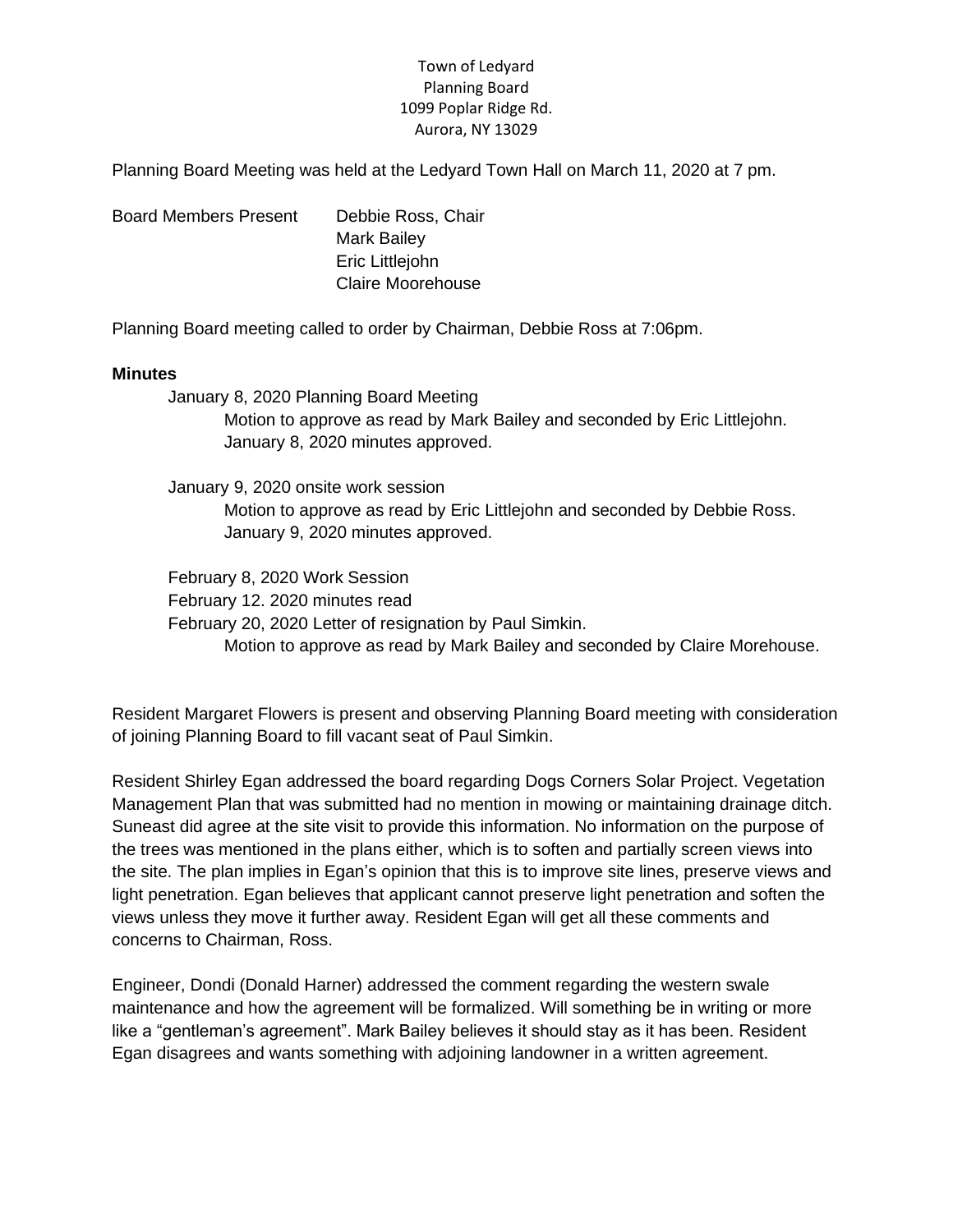## Town of Ledyard Planning Board 1099 Poplar Ridge Rd. Aurora, NY 13029

Planning Board Meeting was held at the Ledyard Town Hall on March 11, 2020 at 7 pm.

Board Members Present Debbie Ross, Chair Mark Bailey Eric Littlejohn Claire Moorehouse

Planning Board meeting called to order by Chairman, Debbie Ross at 7:06pm.

#### **Minutes**

January 8, 2020 Planning Board Meeting

Motion to approve as read by Mark Bailey and seconded by Eric Littlejohn. January 8, 2020 minutes approved.

January 9, 2020 onsite work session Motion to approve as read by Eric Littlejohn and seconded by Debbie Ross. January 9, 2020 minutes approved.

February 8, 2020 Work Session February 12. 2020 minutes read February 20, 2020 Letter of resignation by Paul Simkin. Motion to approve as read by Mark Bailey and seconded by Claire Morehouse.

Resident Margaret Flowers is present and observing Planning Board meeting with consideration of joining Planning Board to fill vacant seat of Paul Simkin.

Resident Shirley Egan addressed the board regarding Dogs Corners Solar Project. Vegetation Management Plan that was submitted had no mention in mowing or maintaining drainage ditch. Suneast did agree at the site visit to provide this information. No information on the purpose of the trees was mentioned in the plans either, which is to soften and partially screen views into the site. The plan implies in Egan's opinion that this is to improve site lines, preserve views and light penetration. Egan believes that applicant cannot preserve light penetration and soften the views unless they move it further away. Resident Egan will get all these comments and concerns to Chairman, Ross.

Engineer, Dondi (Donald Harner) addressed the comment regarding the western swale maintenance and how the agreement will be formalized. Will something be in writing or more like a "gentleman's agreement". Mark Bailey believes it should stay as it has been. Resident Egan disagrees and wants something with adjoining landowner in a written agreement.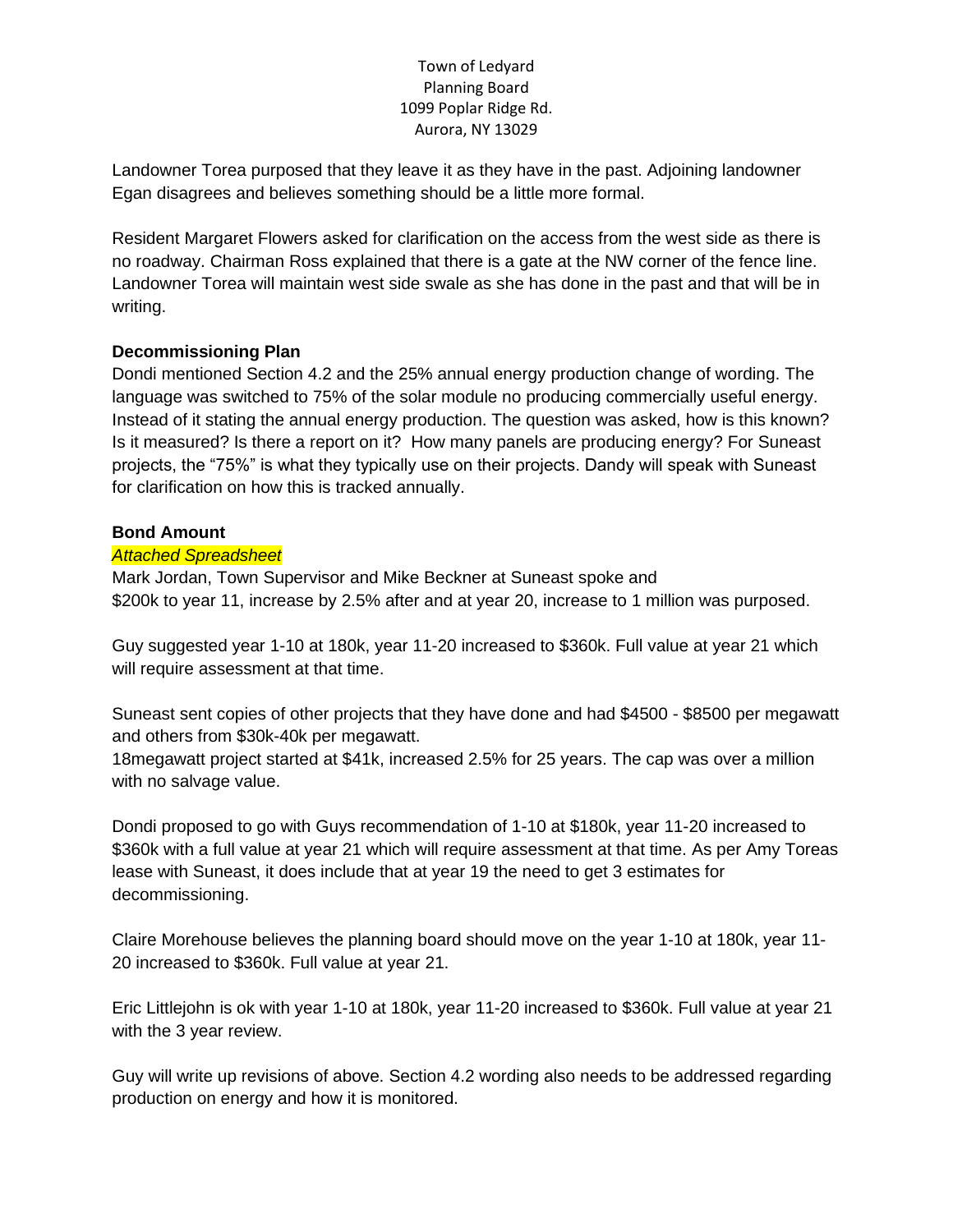## Town of Ledyard Planning Board 1099 Poplar Ridge Rd. Aurora, NY 13029

Landowner Torea purposed that they leave it as they have in the past. Adjoining landowner Egan disagrees and believes something should be a little more formal.

Resident Margaret Flowers asked for clarification on the access from the west side as there is no roadway. Chairman Ross explained that there is a gate at the NW corner of the fence line. Landowner Torea will maintain west side swale as she has done in the past and that will be in writing.

# **Decommissioning Plan**

Dondi mentioned Section 4.2 and the 25% annual energy production change of wording. The language was switched to 75% of the solar module no producing commercially useful energy. Instead of it stating the annual energy production. The question was asked, how is this known? Is it measured? Is there a report on it? How many panels are producing energy? For Suneast projects, the "75%" is what they typically use on their projects. Dandy will speak with Suneast for clarification on how this is tracked annually.

# **Bond Amount**

## *Attached Spreadsheet*

Mark Jordan, Town Supervisor and Mike Beckner at Suneast spoke and \$200k to year 11, increase by 2.5% after and at year 20, increase to 1 million was purposed.

Guy suggested year 1-10 at 180k, year 11-20 increased to \$360k. Full value at year 21 which will require assessment at that time.

Suneast sent copies of other projects that they have done and had \$4500 - \$8500 per megawatt and others from \$30k-40k per megawatt.

18megawatt project started at \$41k, increased 2.5% for 25 years. The cap was over a million with no salvage value.

Dondi proposed to go with Guys recommendation of 1-10 at \$180k, year 11-20 increased to \$360k with a full value at year 21 which will require assessment at that time. As per Amy Toreas lease with Suneast, it does include that at year 19 the need to get 3 estimates for decommissioning.

Claire Morehouse believes the planning board should move on the year 1-10 at 180k, year 11- 20 increased to \$360k. Full value at year 21.

Eric Littlejohn is ok with year 1-10 at 180k, year 11-20 increased to \$360k. Full value at year 21 with the 3 year review.

Guy will write up revisions of above. Section 4.2 wording also needs to be addressed regarding production on energy and how it is monitored.